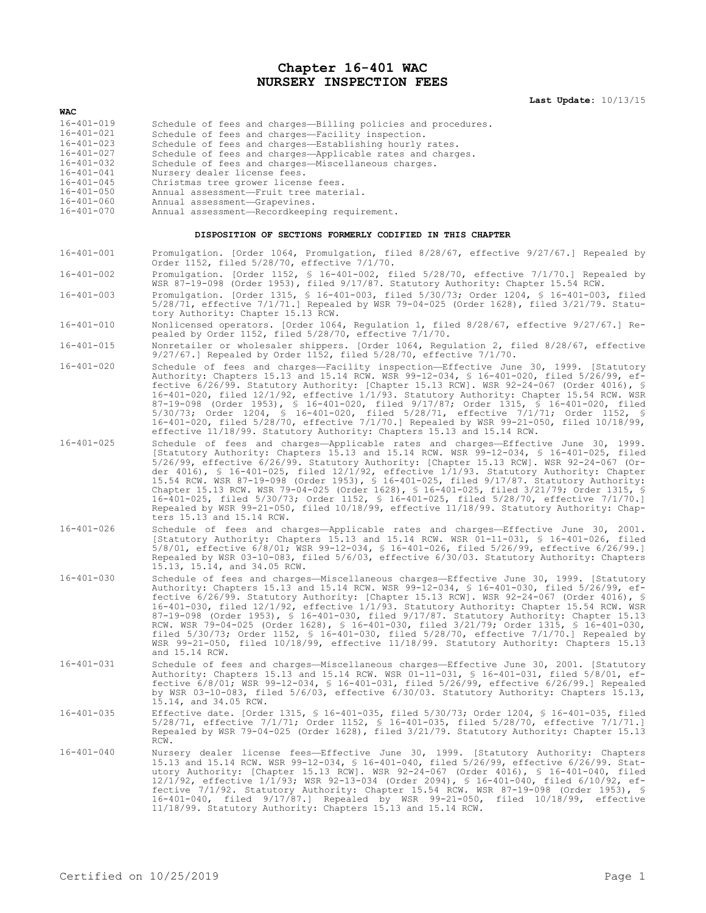## **Chapter 16-401 WAC NURSERY INSPECTION FEES**

**Last Update:** 10/13/15

| <b>WAC</b>       |                                                               |
|------------------|---------------------------------------------------------------|
| $16 - 401 - 019$ | Schedule of fees and charges-Billing policies and procedures. |
| $16 - 401 - 021$ | Schedule of fees and charges-Facility inspection.             |
| $16 - 401 - 023$ | Schedule of fees and charges-Establishing hourly rates.       |
| $16 - 401 - 027$ | Schedule of fees and charges-Applicable rates and charges.    |
| $16 - 401 - 032$ | Schedule of fees and charges-Miscellaneous charges.           |
| $16 - 401 - 041$ | Nursery dealer license fees.                                  |
| $16 - 401 - 045$ | Christmas tree grower license fees.                           |
| $16 - 401 - 050$ | Annual assessment-Fruit tree material.                        |
| $16 - 401 - 060$ | Annual assessment-Grapevines.                                 |
| $16 - 401 - 070$ | Annual assessment-Recordkeeping requirement.                  |

## **DISPOSITION OF SECTIONS FORMERLY CODIFIED IN THIS CHAPTER**

16-401-001 Promulgation. [Order 1064, Promulgation, filed 8/28/67, effective 9/27/67.] Repealed by Order 1152, filed 5/28/70, effective 7/1/70.

- 16-401-002 Promulgation. [Order 1152, § 16-401-002, filed 5/28/70, effective 7/1/70.] Repealed by WSR 87-19-098 (Order 1953), filed 9/17/87. Statutory Authority: Chapter 15.54 RCW.
- 16-401-003 Promulgation. [Order 1315, § 16-401-003, filed 5/30/73; Order 1204, § 16-401-003, filed 5/28/71, effective 7/1/71.] Repealed by WSR 79-04-025 (Order 1628), filed 3/21/79. Statutory Authority: Chapter 15.13 RCW.
- 16-401-010 Nonlicensed operators. [Order 1064, Regulation 1, filed 8/28/67, effective 9/27/67.] Repealed by Order 1152, filed 5/28/70, effective 7/1/70.
- 16-401-015 Nonretailer or wholesaler shippers. [Order 1064, Regulation 2, filed 8/28/67, effective 9/27/67.] Repealed by Order 1152, filed 5/28/70, effective 7/1/70.
- 16-401-020 Schedule of fees and charges—Facility inspection—Effective June 30, 1999. [Statutory Authority: Chapters 15.13 and 15.14 RCW. WSR 99-12-034, § 16-401-020, filed 5/26/99, effective 6/26/99. Statutory Authority: [Chapter 15.13 RCW]. WSR 92-24-067 (Order 4016), § 16-401-020, filed 12/1/92, effective 1/1/93. Statutory Authority: Chapter 15.54 RCW. WSR 87-19-098 (Order 1953), § 16-401-020, filed 9/17/87; Order 1315, § 16-401-020, filed 5/30/73; Order 1204, § 16-401-020, filed 5/28/71, effective 7/1/71; Order 1152, § 16-401-020, filed 5/28/70, effective 7/1/70.] Repealed by WSR 99-21-050, filed 10/18/99, effective 11/18/99. Statutory Authority: Chapters 15.13 and 15.14 RCW.
- 16-401-025 Schedule of fees and charges—Applicable rates and charges—Effective June 30, 1999. [Statutory Authority: Chapters 15.13 and 15.14 RCW. WSR 99-12-034, § 16-401-025, filed 5/26/99, effective 6/26/99. Statutory Authority: [Chapter 15.13 RCW]. WSR 92-24-067 (Order 4016), § 16-401-025, filed 12/1/92, effective 1/1/93. Statutory Authority: Chapter 15.54 RCW. WSR 87-19-098 (Order 1953), § 16-401-025, filed 9/17/87. Statutory Authority: Chapter 15.13 RCW. WSR 79-04-025 (Order 1628), § 16-401-025, filed 3/21/79; Order 1315, § 16-401-025, filed 5/30/73; Order 1152, § 16-401-025, filed 5/28/70, effective 7/1/70.] Repealed by WSR 99-21-050, filed 10/18/99, effective 11/18/99. Statutory Authority: Chapters 15.13 and 15.14 RCW.
- 16-401-026 Schedule of fees and charges—Applicable rates and charges—Effective June 30, 2001. [Statutory Authority: Chapters 15.13 and 15.14 RCW. WSR 01-11-031, § 16-401-026, filed 5/8/01, effective 6/8/01; WSR 99-12-034, § 16-401-026, filed 5/26/99, effective 6/26/99.] Repealed by WSR 03-10-083, filed 5/6/03, effective 6/30/03. Statutory Authority: Chapters 15.13, 15.14, and 34.05 RCW.
- 16-401-030 Schedule of fees and charges—Miscellaneous charges—Effective June 30, 1999. [Statutory Authority: Chapters 15.13 and 15.14 RCW. WSR 99-12-034, § 16-401-030, filed 5/26/99, effective 6/26/99. Statutory Authority: [Chapter 15.13 RCW]. WSR 92-24-067 (Order 4016), § 16-401-030, filed 12/1/92, effective 1/1/93. Statutory Authority: Chapter 15.54 RCW. WSR 87-19-098 (Order 1953), § 16-401-030, filed 9/17/87. Statutory Authority: Chapter 15.13 RCW. WSR 79-04-025 (Order 1628), § 16-401-030, filed 3/21/79; Order 1315, § 16-401-030, filed 5/30/73; Order 1152, § 16-401-030, filed 5/28/70, effective 7/1/70.] Repealed by WSR 99-21-050, filed 10/18/99, effective 11/18/99. Statutory Authority: Chapters 15.13 and 15.14 RCW.
- 16-401-031 Schedule of fees and charges—Miscellaneous charges—Effective June 30, 2001. [Statutory Authority: Chapters 15.13 and 15.14 RCW. WSR 01-11-031, § 16-401-031, filed 5/8/01, effective 6/8/01; WSR 99-12-034, § 16-401-031, filed 5/26/99, effective 6/26/99.] Repealed by WSR 03-10-083, filed 5/6/03, effective 6/30/03. Statutory Authority: Chapters 15.13, 15.14, and 34.05 RCW.
- 16-401-035 Effective date. [Order 1315, § 16-401-035, filed 5/30/73; Order 1204, § 16-401-035, filed 5/28/71, effective 7/1/71; Order 1152, § 16-401-035, filed 5/28/70, effective 7/1/71.] Repealed by WSR 79-04-025 (Order 1628), filed 3/21/79. Statutory Authority: Chapter 15.13 RCW.
- 16-401-040 Mursery dealer license fees—Effective June 30, 1999. [Statutory Authority: Chapters<br>15.13 and 15.14 RCW. WSR 99-12-034, § 16-401-040, filed 5/26/99, effective 6/26/99. Stat-<br>utory Authority: [Chapter 15.13 RCW]. 12/1/92, effective 1/1/93; WSR 92-13-034 (Order 2094), § 16-401-040, filed 6/10/92, effective 7/1/92. Statutory Authority: Chapter 15.54 RCW. WSR 87-19-098 (Order 1953), § 16-401-040, filed 9/17/87.] Repealed by WSR 99-21-050, filed 10/18/99, effective 11/18/99. Statutory Authority: Chapters 15.13 and 15.14 RCW.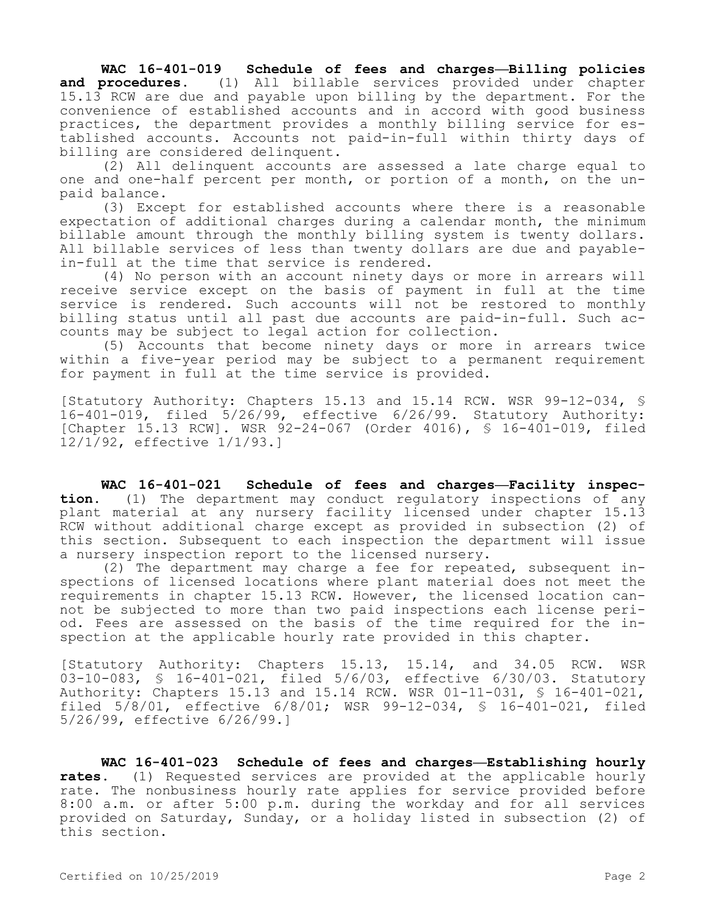**WAC 16-401-019 Schedule of fees and charges—Billing policies and procedures.** (1) All billable services provided under chapter 15.13 RCW are due and payable upon billing by the department. For the convenience of established accounts and in accord with good business practices, the department provides a monthly billing service for established accounts. Accounts not paid-in-full within thirty days of billing are considered delinquent.

(2) All delinquent accounts are assessed a late charge equal to one and one-half percent per month, or portion of a month, on the unpaid balance.

(3) Except for established accounts where there is a reasonable expectation of additional charges during a calendar month, the minimum billable amount through the monthly billing system is twenty dollars. All billable services of less than twenty dollars are due and payablein-full at the time that service is rendered.

(4) No person with an account ninety days or more in arrears will receive service except on the basis of payment in full at the time service is rendered. Such accounts will not be restored to monthly billing status until all past due accounts are paid-in-full. Such accounts may be subject to legal action for collection.

(5) Accounts that become ninety days or more in arrears twice within a five-year period may be subject to a permanent requirement for payment in full at the time service is provided.

[Statutory Authority: Chapters 15.13 and 15.14 RCW. WSR 99-12-034, § 16-401-019, filed 5/26/99, effective 6/26/99. Statutory Authority: [Chapter 15.13 RCW]. WSR 92-24-067 (Order 4016), § 16-401-019, filed 12/1/92, effective 1/1/93.]

**WAC 16-401-021 Schedule of fees and charges—Facility inspection.** (1) The department may conduct regulatory inspections of any plant material at any nursery facility licensed under chapter 15.13 RCW without additional charge except as provided in subsection (2) of this section. Subsequent to each inspection the department will issue a nursery inspection report to the licensed nursery.

(2) The department may charge a fee for repeated, subsequent inspections of licensed locations where plant material does not meet the requirements in chapter 15.13 RCW. However, the licensed location cannot be subjected to more than two paid inspections each license period. Fees are assessed on the basis of the time required for the inspection at the applicable hourly rate provided in this chapter.

[Statutory Authority: Chapters 15.13, 15.14, and 34.05 RCW. WSR 03-10-083, § 16-401-021, filed 5/6/03, effective 6/30/03. Statutory Authority: Chapters 15.13 and 15.14 RCW. WSR 01-11-031, § 16-401-021, filed 5/8/01, effective 6/8/01; WSR 99-12-034, § 16-401-021, filed 5/26/99, effective 6/26/99.]

**WAC 16-401-023 Schedule of fees and charges—Establishing hourly rates.** (1) Requested services are provided at the applicable hourly rate. The nonbusiness hourly rate applies for service provided before 8:00 a.m. or after 5:00 p.m. during the workday and for all services provided on Saturday, Sunday, or a holiday listed in subsection (2) of this section.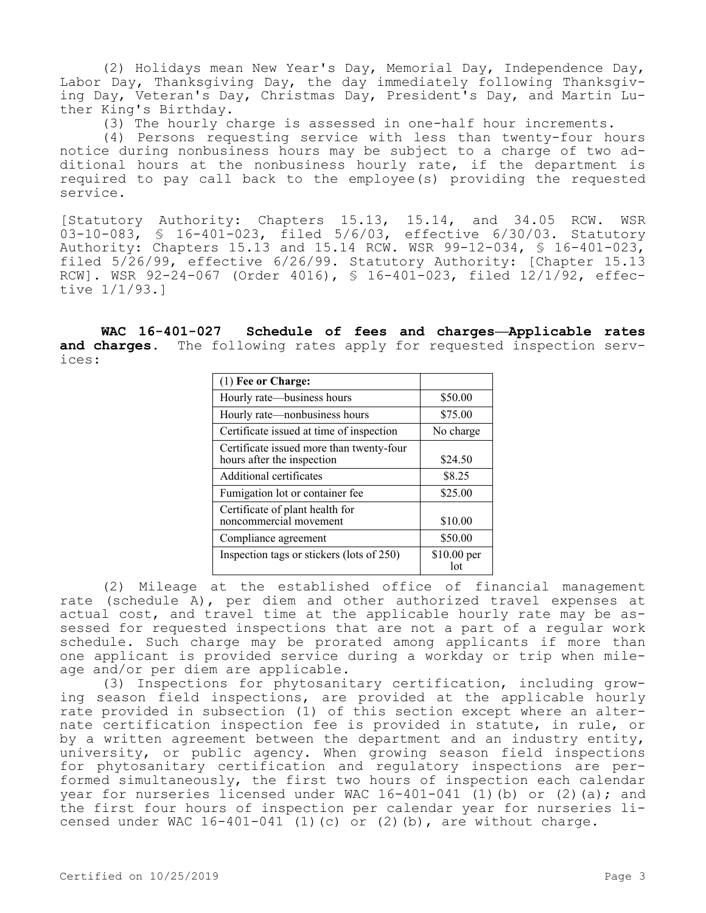(2) Holidays mean New Year's Day, Memorial Day, Independence Day, Labor Day, Thanksgiving Day, the day immediately following Thanksgiving Day, Veteran's Day, Christmas Day, President's Day, and Martin Luther King's Birthday.

(3) The hourly charge is assessed in one-half hour increments.

(4) Persons requesting service with less than twenty-four hours notice during nonbusiness hours may be subject to a charge of two additional hours at the nonbusiness hourly rate, if the department is required to pay call back to the employee(s) providing the requested service.

[Statutory Authority: Chapters 15.13, 15.14, and 34.05 RCW. WSR 03-10-083, § 16-401-023, filed 5/6/03, effective 6/30/03. Statutory Authority: Chapters 15.13 and 15.14 RCW. WSR 99-12-034, § 16-401-023, filed 5/26/99, effective 6/26/99. Statutory Authority: [Chapter 15.13 RCW]. WSR 92-24-067 (Order 4016), § 16-401-023, filed 12/1/92, effective 1/1/93.]

**WAC 16-401-027 Schedule of fees and charges—Applicable rates and charges.** The following rates apply for requested inspection services:

| $(1)$ Fee or Charge:                                                   |                     |
|------------------------------------------------------------------------|---------------------|
| Hourly rate—business hours                                             | \$50.00             |
| Hourly rate-nonbusiness hours                                          | \$75.00             |
| Certificate issued at time of inspection                               | No charge           |
| Certificate issued more than twenty-four<br>hours after the inspection | \$24.50             |
| Additional certificates                                                | \$8.25              |
| Fumigation lot or container fee                                        | \$25.00             |
| Certificate of plant health for<br>noncommercial movement              | \$10.00             |
| Compliance agreement                                                   | \$50.00             |
| Inspection tags or stickers (lots of 250)                              | $$10.00$ per<br>lot |

(2) Mileage at the established office of financial management rate (schedule A), per diem and other authorized travel expenses at actual cost, and travel time at the applicable hourly rate may be assessed for requested inspections that are not a part of a regular work schedule. Such charge may be prorated among applicants if more than one applicant is provided service during a workday or trip when mileage and/or per diem are applicable.

(3) Inspections for phytosanitary certification, including growing season field inspections, are provided at the applicable hourly rate provided in subsection (1) of this section except where an alternate certification inspection fee is provided in statute, in rule, or by a written agreement between the department and an industry entity, university, or public agency. When growing season field inspections for phytosanitary certification and regulatory inspections are performed simultaneously, the first two hours of inspection each calendar year for nurseries licensed under WAC  $16-401-041$  (1)(b) or (2)(a); and the first four hours of inspection per calendar year for nurseries licensed under WAC  $16-401-041$  (1)(c) or (2)(b), are without charge.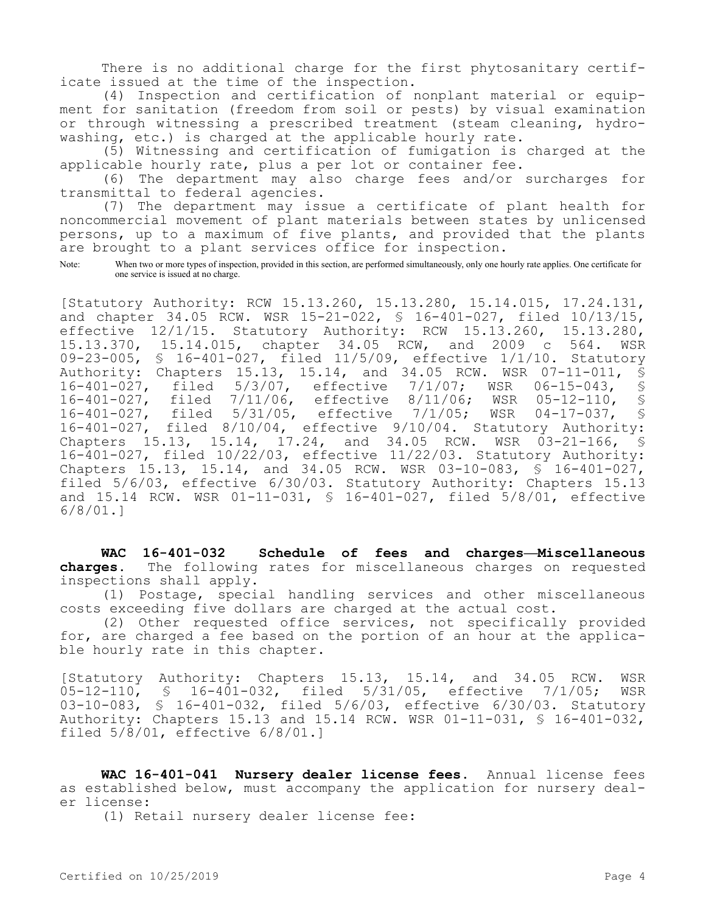There is no additional charge for the first phytosanitary certificate issued at the time of the inspection.

(4) Inspection and certification of nonplant material or equipment for sanitation (freedom from soil or pests) by visual examination or through witnessing a prescribed treatment (steam cleaning, hydrowashing, etc.) is charged at the applicable hourly rate.

(5) Witnessing and certification of fumigation is charged at the applicable hourly rate, plus a per lot or container fee.

(6) The department may also charge fees and/or surcharges for transmittal to federal agencies.

(7) The department may issue a certificate of plant health for noncommercial movement of plant materials between states by unlicensed persons, up to a maximum of five plants, and provided that the plants are brought to a plant services office for inspection.

Note: When two or more types of inspection, provided in this section, are performed simultaneously, only one hourly rate applies. One certificate for one service is issued at no charge.

[Statutory Authority: RCW 15.13.260, 15.13.280, 15.14.015, 17.24.131, and chapter 34.05 RCW. WSR 15-21-022, § 16-401-027, filed 10/13/15, effective 12/1/15. Statutory Authority: RCW 15.13.260, 15.13.280, 15.13.370, 15.14.015, chapter 34.05 RCW, and 2009 c 564. WSR 09-23-005, § 16-401-027, filed 11/5/09, effective 1/1/10. Statutory Authority: Chapters 15.13, 15.14, and 34.05 RCW. WSR 07-11-011, § 16-401-027, filed 5/3/07, effective 7/1/07; WSR 06-15-043, §<br>16-401-027, filed 7/11/06, effective 8/11/06; WSR 05-12-110, § 16-401-027, filed 7/11/06, effective 8/11/06; WSR 05-12-110, §<br>16-401-027, filed 5/31/05, effective 7/1/05; WSR 04-17-037, § 16-401-027, filed 5/31/05, effective 7/1/05; WSR 04-17-037, 16-401-027, filed 8/10/04, effective 9/10/04. Statutory Authority: Chapters 15.13, 15.14, 17.24, and 34.05 RCW. WSR 03-21-166, § 16-401-027, filed 10/22/03, effective 11/22/03. Statutory Authority: Chapters 15.13, 15.14, and 34.05 RCW. WSR 03-10-083, § 16-401-027, filed 5/6/03, effective 6/30/03. Statutory Authority: Chapters 15.13 and 15.14 RCW. WSR 01-11-031, § 16-401-027, filed 5/8/01, effective 6/8/01.]

**WAC 16-401-032 Schedule of fees and charges—Miscellaneous charges.** The following rates for miscellaneous charges on requested inspections shall apply.

(1) Postage, special handling services and other miscellaneous costs exceeding five dollars are charged at the actual cost.

(2) Other requested office services, not specifically provided for, are charged a fee based on the portion of an hour at the applicable hourly rate in this chapter.

[Statutory Authority: Chapters 15.13, 15.14, and 34.05 RCW. WSR 05-12-110, § 16-401-032, filed 5/31/05, effective 7/1/05; WSR 03-10-083, § 16-401-032, filed 5/6/03, effective 6/30/03. Statutory Authority: Chapters 15.13 and 15.14 RCW. WSR 01-11-031, § 16-401-032, filed 5/8/01, effective 6/8/01.]

**WAC 16-401-041 Nursery dealer license fees.** Annual license fees as established below, must accompany the application for nursery dealer license:

(1) Retail nursery dealer license fee: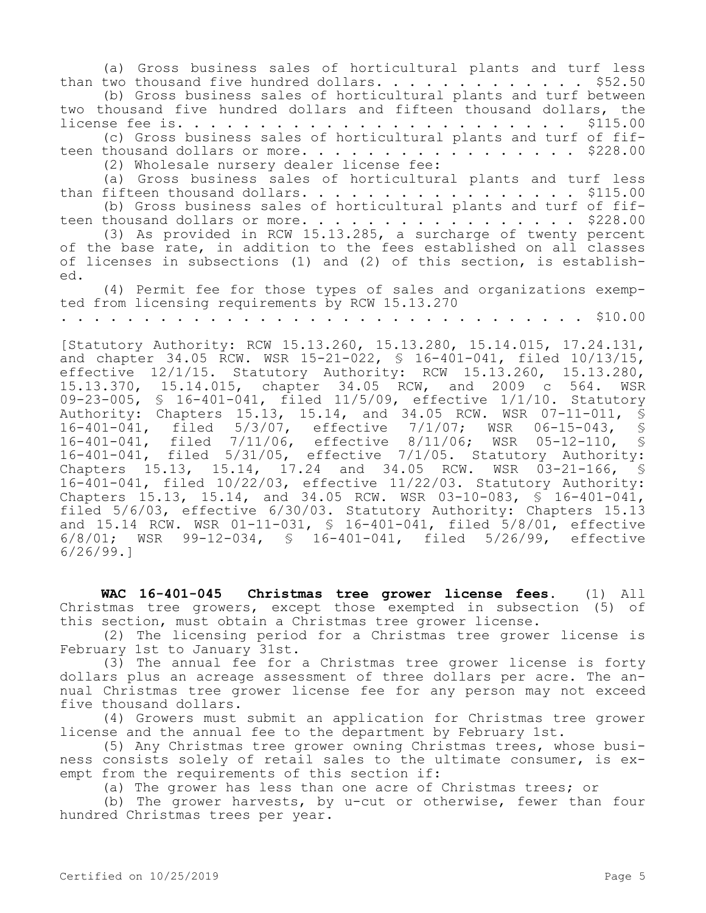(a) Gross business sales of horticultural plants and turf less than two thousand five hundred dollars. . . . . . . . . . . . . \$52.50 (b) Gross business sales of horticultural plants and turf between two thousand five hundred dollars and fifteen thousand dollars, the license fee is. . . . . . . . . . . . . . . . . . . . . . . . \$115.00 (c) Gross business sales of horticultural plants and turf of fifteen thousand dollars or more. . . . . . . . . . . . . . . . . \$228.00 (2) Wholesale nursery dealer license fee: (a) Gross business sales of horticultural plants and turf less than fifteen thousand dollars. . . . . . . . . . . . . . . . . \$115.00 (b) Gross business sales of horticultural plants and turf of fifteen thousand dollars or more.  $\ldots$  . . . . . . . . . . . . . . \$228.00 (3) As provided in RCW 15.13.285, a surcharge of twenty percent of the base rate, in addition to the fees established on all classes of licenses in subsections (1) and (2) of this section, is established. (4) Permit fee for those types of sales and organizations exempted from licensing requirements by RCW 15.13.270 . . . . . . . . . . . . . . . . . . . . . . . . . . . . . . . . \$10.00 [Statutory Authority: RCW 15.13.260, 15.13.280, 15.14.015, 17.24.131, and chapter 34.05 RCW. WSR 15-21-022, § 16-401-041, filed 10/13/15, effective 12/1/15. Statutory Authority: RCW 15.13.260, 15.13.280, 15.13.370, 15.14.015, chapter 34.05 RCW, and 2009 c 564. WSR 09-23-005, § 16-401-041, filed 11/5/09, effective 1/1/10. Statutory Authority: Chapters 15.13, 15.14, and 34.05 RCW. WSR 07-11-011, §

**WAC 16-401-045 Christmas tree grower license fees.** (1) All Christmas tree growers, except those exempted in subsection (5) of this section, must obtain a Christmas tree grower license.

16-401-041, filed 5/3/07, effective 7/1/07; WSR 06-15-043, § 16-401-041, filed 7/11/06, effective 8/11/06; WSR 05-12-110, § 16-401-041, filed 5/31/05, effective 7/1/05. Statutory Authority: Chapters 15.13, 15.14, 17.24 and 34.05 RCW. WSR 03-21-166, § 16-401-041, filed 10/22/03, effective 11/22/03. Statutory Authority: Chapters 15.13, 15.14, and 34.05 RCW. WSR 03-10-083, § 16-401-041, filed 5/6/03, effective 6/30/03. Statutory Authority: Chapters 15.13 and 15.14 RCW. WSR 01-11-031, § 16-401-041, filed 5/8/01, effective 6/8/01; WSR 99-12-034, § 16-401-041, filed 5/26/99, effective

(2) The licensing period for a Christmas tree grower license is February 1st to January 31st.

(3) The annual fee for a Christmas tree grower license is forty dollars plus an acreage assessment of three dollars per acre. The annual Christmas tree grower license fee for any person may not exceed five thousand dollars.

(4) Growers must submit an application for Christmas tree grower license and the annual fee to the department by February 1st.

(5) Any Christmas tree grower owning Christmas trees, whose business consists solely of retail sales to the ultimate consumer, is exempt from the requirements of this section if:

(a) The grower has less than one acre of Christmas trees; or

(b) The grower harvests, by u-cut or otherwise, fewer than four hundred Christmas trees per year.

6/26/99.]